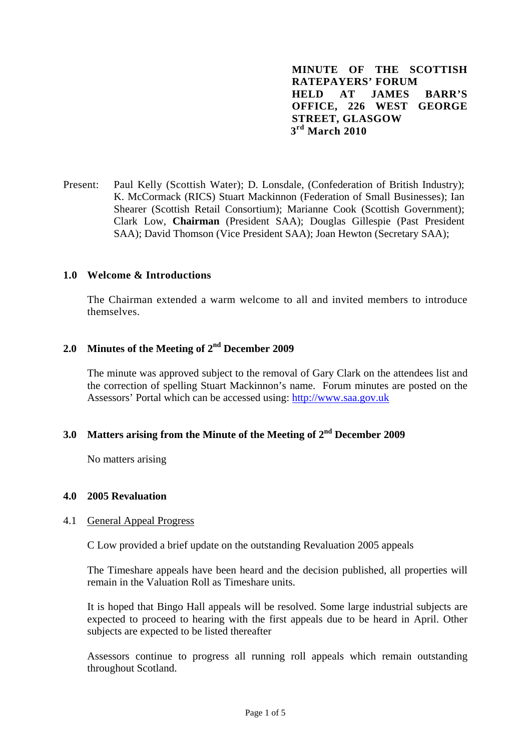**MINUTE OF THE SCOTTISH RATEPAYERS' FORUM HELD AT JAMES BARR'S OFFICE, 226 WEST GEORGE STREET, GLASGOW 3rd March 2010**

Present: Paul Kelly (Scottish Water); D. Lonsdale, (Confederation of British Industry); K. McCormack (RICS) Stuart Mackinnon (Federation of Small Businesses); Ian Shearer (Scottish Retail Consortium); Marianne Cook (Scottish Government); Clark Low, **Chairman** (President SAA); Douglas Gillespie (Past President SAA); David Thomson (Vice President SAA); Joan Hewton (Secretary SAA);

#### **1.0 Welcome & Introductions**

The Chairman extended a warm welcome to all and invited members to introduce themselves.

# **2.0 Minutes of the Meeting of 2nd December 2009**

The minute was approved subject to the removal of Gary Clark on the attendees list and the correction of spelling Stuart Mackinnon's name. Forum minutes are posted on the Assessors' Portal which can be accessed using: http://www.saa.gov.uk

# **3.0 Matters arising from the Minute of the Meeting of 2nd December 2009**

No matters arising

#### **4.0 2005 Revaluation**

#### 4.1 General Appeal Progress

C Low provided a brief update on the outstanding Revaluation 2005 appeals

The Timeshare appeals have been heard and the decision published, all properties will remain in the Valuation Roll as Timeshare units.

It is hoped that Bingo Hall appeals will be resolved. Some large industrial subjects are expected to proceed to hearing with the first appeals due to be heard in April. Other subjects are expected to be listed thereafter

Assessors continue to progress all running roll appeals which remain outstanding throughout Scotland.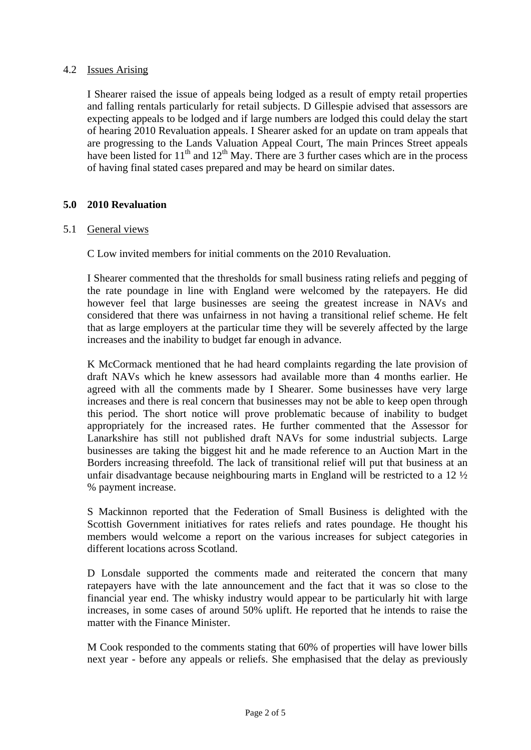## 4.2 Issues Arising

I Shearer raised the issue of appeals being lodged as a result of empty retail properties and falling rentals particularly for retail subjects. D Gillespie advised that assessors are expecting appeals to be lodged and if large numbers are lodged this could delay the start of hearing 2010 Revaluation appeals. I Shearer asked for an update on tram appeals that are progressing to the Lands Valuation Appeal Court, The main Princes Street appeals have been listed for  $11<sup>th</sup>$  and  $12<sup>th</sup>$  May. There are 3 further cases which are in the process of having final stated cases prepared and may be heard on similar dates.

### **5.0 2010 Revaluation**

#### 5.1 General views

C Low invited members for initial comments on the 2010 Revaluation.

I Shearer commented that the thresholds for small business rating reliefs and pegging of the rate poundage in line with England were welcomed by the ratepayers. He did however feel that large businesses are seeing the greatest increase in NAVs and considered that there was unfairness in not having a transitional relief scheme. He felt that as large employers at the particular time they will be severely affected by the large increases and the inability to budget far enough in advance.

K McCormack mentioned that he had heard complaints regarding the late provision of draft NAVs which he knew assessors had available more than 4 months earlier. He agreed with all the comments made by I Shearer. Some businesses have very large increases and there is real concern that businesses may not be able to keep open through this period. The short notice will prove problematic because of inability to budget appropriately for the increased rates. He further commented that the Assessor for Lanarkshire has still not published draft NAVs for some industrial subjects. Large businesses are taking the biggest hit and he made reference to an Auction Mart in the Borders increasing threefold. The lack of transitional relief will put that business at an unfair disadvantage because neighbouring marts in England will be restricted to a 12 ½ % payment increase.

S Mackinnon reported that the Federation of Small Business is delighted with the Scottish Government initiatives for rates reliefs and rates poundage. He thought his members would welcome a report on the various increases for subject categories in different locations across Scotland.

D Lonsdale supported the comments made and reiterated the concern that many ratepayers have with the late announcement and the fact that it was so close to the financial year end. The whisky industry would appear to be particularly hit with large increases, in some cases of around 50% uplift. He reported that he intends to raise the matter with the Finance Minister.

M Cook responded to the comments stating that 60% of properties will have lower bills next year - before any appeals or reliefs. She emphasised that the delay as previously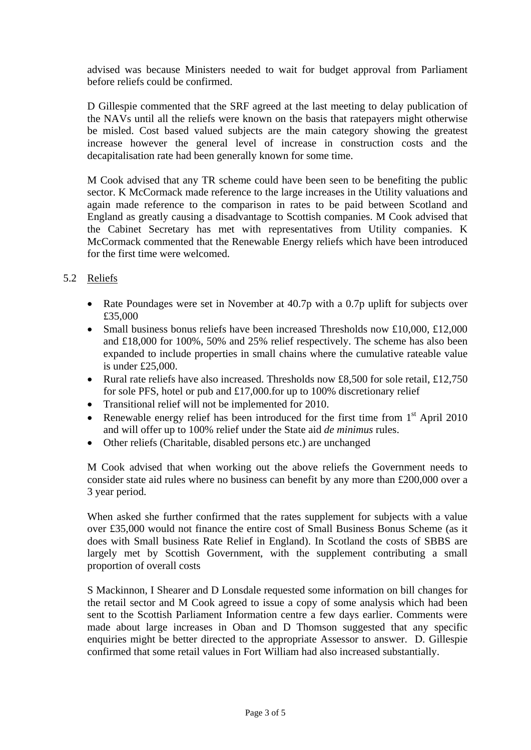advised was because Ministers needed to wait for budget approval from Parliament before reliefs could be confirmed.

D Gillespie commented that the SRF agreed at the last meeting to delay publication of the NAVs until all the reliefs were known on the basis that ratepayers might otherwise be misled. Cost based valued subjects are the main category showing the greatest increase however the general level of increase in construction costs and the decapitalisation rate had been generally known for some time.

M Cook advised that any TR scheme could have been seen to be benefiting the public sector. K McCormack made reference to the large increases in the Utility valuations and again made reference to the comparison in rates to be paid between Scotland and England as greatly causing a disadvantage to Scottish companies. M Cook advised that the Cabinet Secretary has met with representatives from Utility companies. K McCormack commented that the Renewable Energy reliefs which have been introduced for the first time were welcomed.

## 5.2 Reliefs

- Rate Poundages were set in November at 40.7p with a 0.7p uplift for subjects over £35,000
- Small business bonus reliefs have been increased Thresholds now £10,000, £12,000 and £18,000 for 100%, 50% and 25% relief respectively. The scheme has also been expanded to include properties in small chains where the cumulative rateable value is under £25,000.
- Rural rate reliefs have also increased. Thresholds now £8,500 for sole retail, £12,750 for sole PFS, hotel or pub and £17,000.for up to 100% discretionary relief
- Transitional relief will not be implemented for 2010.
- Renewable energy relief has been introduced for the first time from  $1<sup>st</sup>$  April 2010 and will offer up to 100% relief under the State aid *de minimus* rules.
- Other reliefs (Charitable, disabled persons etc.) are unchanged

M Cook advised that when working out the above reliefs the Government needs to consider state aid rules where no business can benefit by any more than £200,000 over a 3 year period.

When asked she further confirmed that the rates supplement for subjects with a value over £35,000 would not finance the entire cost of Small Business Bonus Scheme (as it does with Small business Rate Relief in England). In Scotland the costs of SBBS are largely met by Scottish Government, with the supplement contributing a small proportion of overall costs

 S Mackinnon, I Shearer and D Lonsdale requested some information on bill changes for the retail sector and M Cook agreed to issue a copy of some analysis which had been sent to the Scottish Parliament Information centre a few days earlier. Comments were made about large increases in Oban and D Thomson suggested that any specific enquiries might be better directed to the appropriate Assessor to answer. D. Gillespie confirmed that some retail values in Fort William had also increased substantially.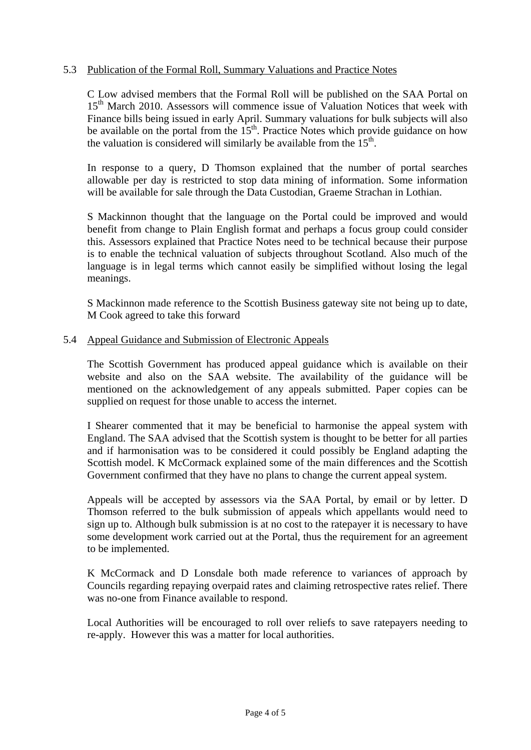## 5.3 Publication of the Formal Roll, Summary Valuations and Practice Notes

C Low advised members that the Formal Roll will be published on the SAA Portal on 15<sup>th</sup> March 2010. Assessors will commence issue of Valuation Notices that week with Finance bills being issued in early April. Summary valuations for bulk subjects will also be available on the portal from the  $15<sup>th</sup>$ . Practice Notes which provide guidance on how the valuation is considered will similarly be available from the  $15<sup>th</sup>$ .

In response to a query, D Thomson explained that the number of portal searches allowable per day is restricted to stop data mining of information. Some information will be available for sale through the Data Custodian, Graeme Strachan in Lothian.

S Mackinnon thought that the language on the Portal could be improved and would benefit from change to Plain English format and perhaps a focus group could consider this. Assessors explained that Practice Notes need to be technical because their purpose is to enable the technical valuation of subjects throughout Scotland. Also much of the language is in legal terms which cannot easily be simplified without losing the legal meanings.

S Mackinnon made reference to the Scottish Business gateway site not being up to date, M Cook agreed to take this forward

#### 5.4 Appeal Guidance and Submission of Electronic Appeals

The Scottish Government has produced appeal guidance which is available on their website and also on the SAA website. The availability of the guidance will be mentioned on the acknowledgement of any appeals submitted. Paper copies can be supplied on request for those unable to access the internet.

I Shearer commented that it may be beneficial to harmonise the appeal system with England. The SAA advised that the Scottish system is thought to be better for all parties and if harmonisation was to be considered it could possibly be England adapting the Scottish model. K McCormack explained some of the main differences and the Scottish Government confirmed that they have no plans to change the current appeal system.

Appeals will be accepted by assessors via the SAA Portal, by email or by letter. D Thomson referred to the bulk submission of appeals which appellants would need to sign up to. Although bulk submission is at no cost to the ratepayer it is necessary to have some development work carried out at the Portal, thus the requirement for an agreement to be implemented.

K McCormack and D Lonsdale both made reference to variances of approach by Councils regarding repaying overpaid rates and claiming retrospective rates relief. There was no-one from Finance available to respond.

Local Authorities will be encouraged to roll over reliefs to save ratepayers needing to re-apply. However this was a matter for local authorities.